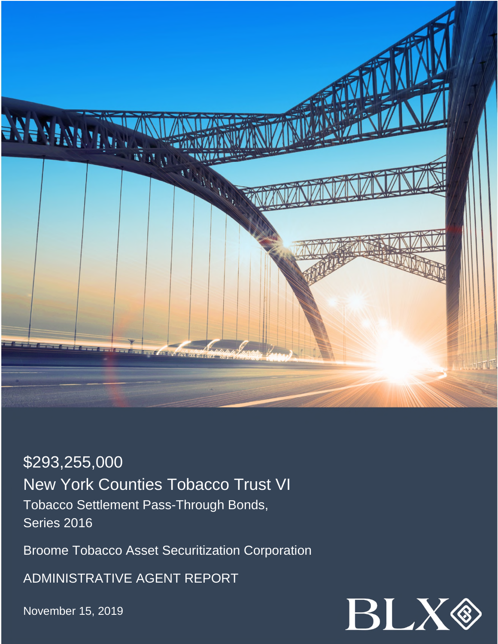

\$293,255,000 New York Counties Tobacco Trust VI Tobacco Settlement Pass-Through Bonds, Series 2016

Broome Tobacco Asset Securitization Corporation

ADMINISTRATIVE AGENT REPORT

November 15, 2019

![](_page_0_Picture_5.jpeg)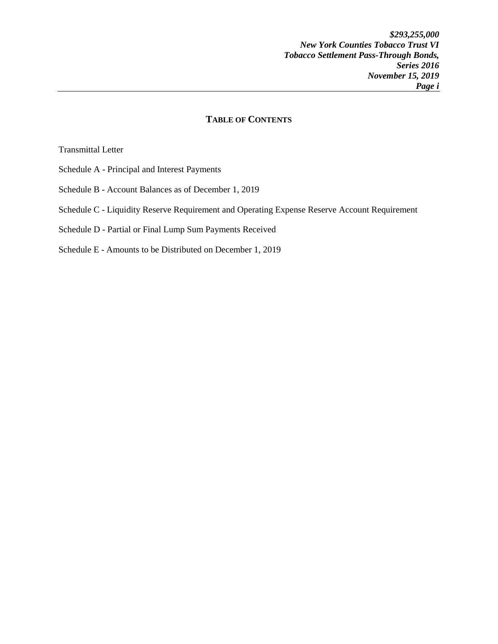## **TABLE OF CONTENTS**

Transmittal Letter

- Schedule A Principal and Interest Payments
- Schedule B Account Balances as of December 1, 2019
- Schedule C Liquidity Reserve Requirement and Operating Expense Reserve Account Requirement
- Schedule D Partial or Final Lump Sum Payments Received
- Schedule E Amounts to be Distributed on December 1, 2019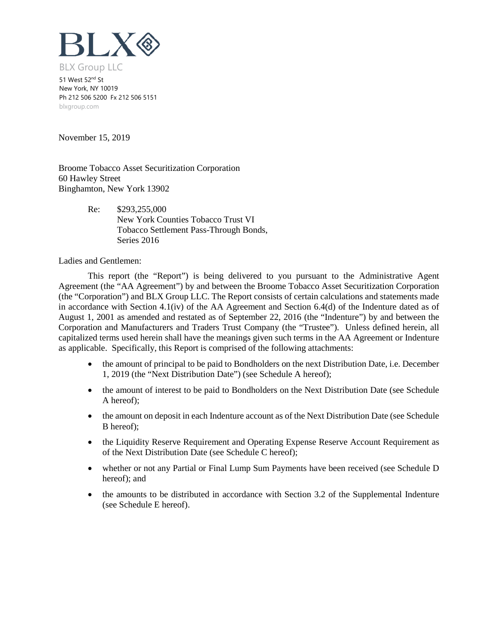![](_page_2_Picture_0.jpeg)

51 West 52<sup>nd</sup> St New York, NY 10019 Ph 212 506 5200 Fx 212 506 5151 blxgroup.com

November 15, 2019

Broome Tobacco Asset Securitization Corporation 60 Hawley Street Binghamton, New York 13902

> Re: \$293,255,000 New York Counties Tobacco Trust VI Tobacco Settlement Pass-Through Bonds, Series 2016

Ladies and Gentlemen:

This report (the "Report") is being delivered to you pursuant to the Administrative Agent Agreement (the "AA Agreement") by and between the Broome Tobacco Asset Securitization Corporation (the "Corporation") and BLX Group LLC. The Report consists of certain calculations and statements made in accordance with Section 4.1(iv) of the AA Agreement and Section 6.4(d) of the Indenture dated as of August 1, 2001 as amended and restated as of September 22, 2016 (the "Indenture") by and between the Corporation and Manufacturers and Traders Trust Company (the "Trustee"). Unless defined herein, all capitalized terms used herein shall have the meanings given such terms in the AA Agreement or Indenture as applicable. Specifically, this Report is comprised of the following attachments:

- the amount of principal to be paid to Bondholders on the next Distribution Date, i.e. December 1, 2019 (the "Next Distribution Date") (see Schedule A hereof);
- the amount of interest to be paid to Bondholders on the Next Distribution Date (see Schedule A hereof);
- the amount on deposit in each Indenture account as of the Next Distribution Date (see Schedule B hereof);
- the Liquidity Reserve Requirement and Operating Expense Reserve Account Requirement as of the Next Distribution Date (see Schedule C hereof);
- whether or not any Partial or Final Lump Sum Payments have been received (see Schedule D hereof); and
- the amounts to be distributed in accordance with Section 3.2 of the Supplemental Indenture (see Schedule E hereof).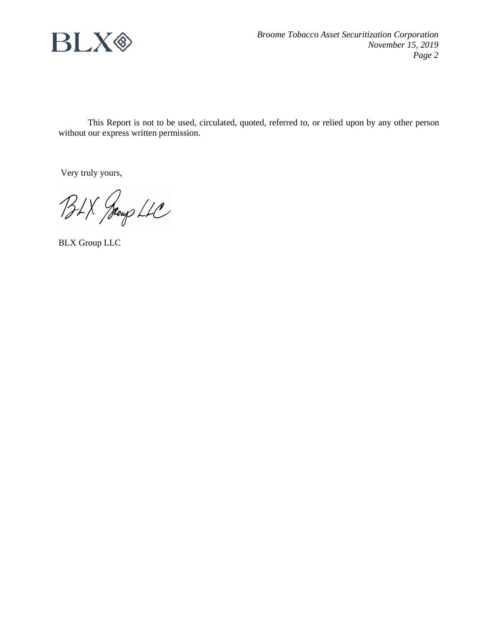![](_page_3_Picture_0.jpeg)

This Report is not to be used, circulated, quoted, referred to, or relied upon by any other person without our express written permission.

Very truly yours,

BLX Jeoup LLC

BLX Group LLC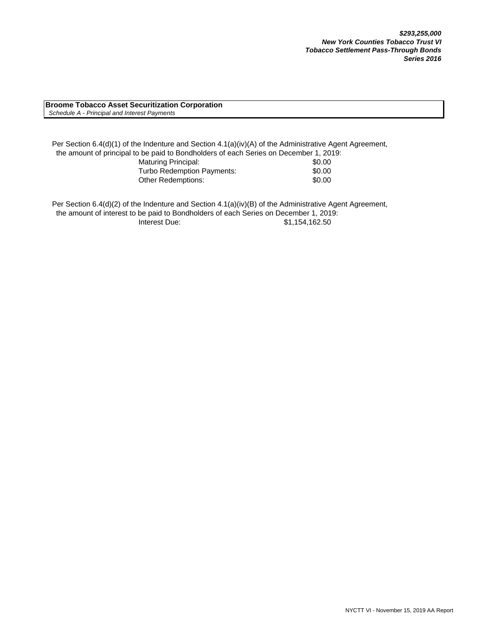**Broome Tobacco Asset Securitization Corporation**  *Schedule A - Principal and Interest Payments*

Per Section 6.4(d)(1) of the Indenture and Section 4.1(a)(iv)(A) of the Administrative Agent Agreement, the amount of principal to be paid to Bondholders of each Series on December 1, 2019: Maturing Principal: \$0.00 Turbo Redemption Payments:  $$0.00$ Other Redemptions:  $$0.00$ 

Per Section 6.4(d)(2) of the Indenture and Section 4.1(a)(iv)(B) of the Administrative Agent Agreement, the amount of interest to be paid to Bondholders of each Series on December 1, 2019: Interest Due: \$1,154,162.50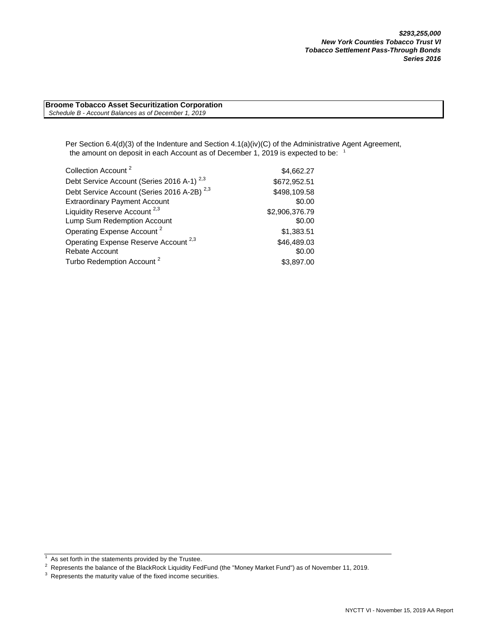**Broome Tobacco Asset Securitization Corporation**  *Schedule B - Account Balances as of December 1, 2019*

> Per Section 6.4(d)(3) of the Indenture and Section 4.1(a)(iv)(C) of the Administrative Agent Agreement, the amount on deposit in each Account as of December 1, 2019 is expected to be: <sup>1</sup>

| Collection Account <sup>2</sup>                        | \$4,662.27     |
|--------------------------------------------------------|----------------|
| Debt Service Account (Series 2016 A-1) <sup>2,3</sup>  | \$672,952.51   |
| Debt Service Account (Series 2016 A-2B) <sup>2,3</sup> | \$498,109.58   |
| <b>Extraordinary Payment Account</b>                   | \$0.00         |
| Liquidity Reserve Account <sup>2,3</sup>               | \$2,906,376.79 |
| Lump Sum Redemption Account                            | \$0.00         |
| Operating Expense Account <sup>2</sup>                 | \$1,383.51     |
| Operating Expense Reserve Account <sup>2,3</sup>       | \$46,489.03    |
| <b>Rebate Account</b>                                  | \$0.00         |
| Turbo Redemption Account <sup>2</sup>                  | \$3,897.00     |

 $1$  As set forth in the statements provided by the Trustee.

As secretaring the statements provided by the readers.<br><sup>2</sup> Represents the balance of the BlackRock Liquidity FedFund (the "Money Market Fund") as of November 11, 2019.

 $3$  Represents the maturity value of the fixed income securities.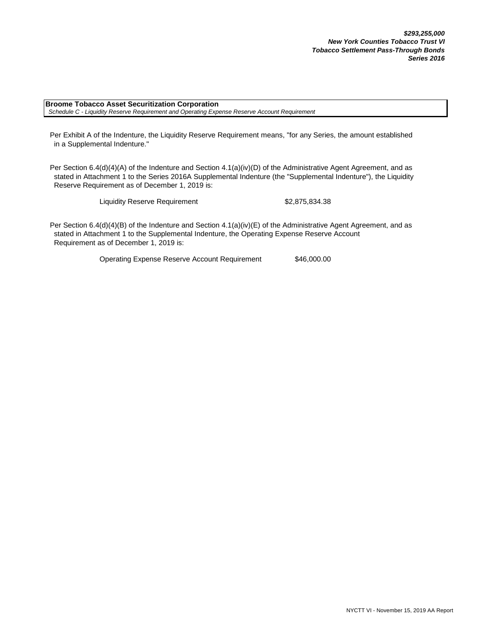**Broome Tobacco Asset Securitization Corporation**  *Schedule C - Liquidity Reserve Requirement and Operating Expense Reserve Account Requirement*

Per Exhibit A of the Indenture, the Liquidity Reserve Requirement means, "for any Series, the amount established in a Supplemental Indenture."

Per Section 6.4(d)(4)(A) of the Indenture and Section 4.1(a)(iv)(D) of the Administrative Agent Agreement, and as stated in Attachment 1 to the Series 2016A Supplemental Indenture (the "Supplemental Indenture"), the Liquidity Reserve Requirement as of December 1, 2019 is:

Liquidity Reserve Requirement \$2,875,834.38

Per Section 6.4(d)(4)(B) of the Indenture and Section 4.1(a)(iv)(E) of the Administrative Agent Agreement, and as stated in Attachment 1 to the Supplemental Indenture, the Operating Expense Reserve Account Requirement as of December 1, 2019 is:

Operating Expense Reserve Account Requirement \$46,000.00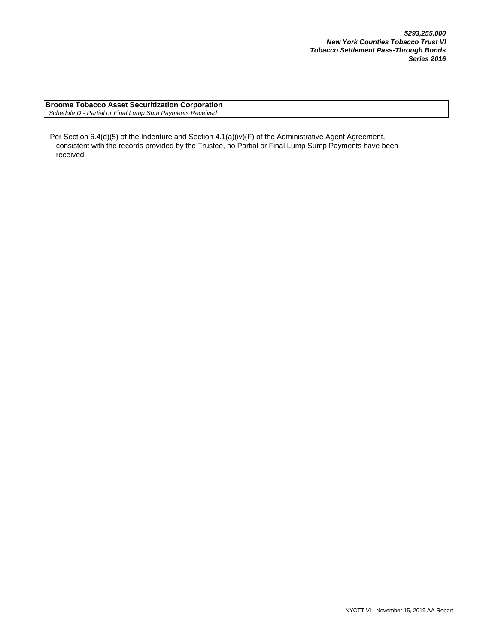**Broome Tobacco Asset Securitization Corporation**  *Schedule D - Partial or Final Lump Sum Payments Received*

Per Section 6.4(d)(5) of the Indenture and Section 4.1(a)(iv)(F) of the Administrative Agent Agreement, consistent with the records provided by the Trustee, no Partial or Final Lump Sump Payments have been received.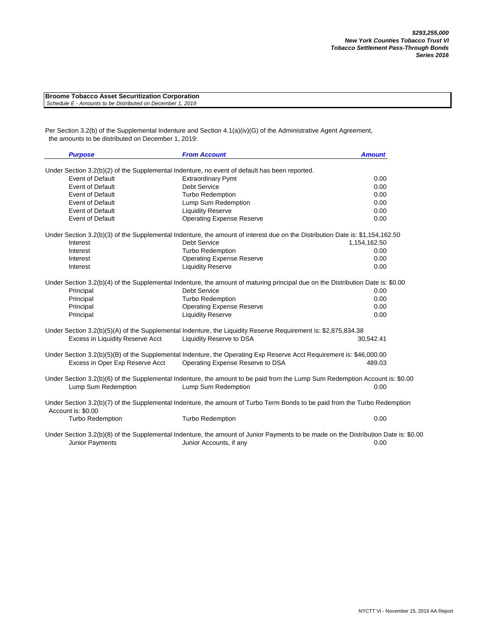| <b>Broome Tobacco Asset Securitization Corporation</b>     |  |
|------------------------------------------------------------|--|
| Schedule E - Amounts to be Distributed on December 1, 2019 |  |

Per Section 3.2(b) of the Supplemental Indenture and Section 4.1(a)(iv)(G) of the Administrative Agent Agreement, the amounts to be distributed on December 1, 2019:

| <b>Purpose</b>                   | <b>From Account</b>                                                                                                                                 | <b>Amount</b> |
|----------------------------------|-----------------------------------------------------------------------------------------------------------------------------------------------------|---------------|
|                                  | Under Section 3.2(b)(2) of the Supplemental Indenture, no event of default has been reported.                                                       |               |
| <b>Event of Default</b>          | <b>Extraordinary Pymt</b>                                                                                                                           | 0.00          |
| <b>Event of Default</b>          | <b>Debt Service</b>                                                                                                                                 | 0.00          |
| <b>Event of Default</b>          | <b>Turbo Redemption</b>                                                                                                                             | 0.00          |
| <b>Event of Default</b>          | Lump Sum Redemption                                                                                                                                 | 0.00          |
| <b>Event of Default</b>          | <b>Liquidity Reserve</b>                                                                                                                            | 0.00          |
| <b>Event of Default</b>          | <b>Operating Expense Reserve</b>                                                                                                                    | 0.00          |
|                                  | Under Section 3.2(b)(3) of the Supplemental Indenture, the amount of interest due on the Distribution Date is: \$1,154,162.50                       |               |
| Interest                         | <b>Debt Service</b>                                                                                                                                 | 1,154,162.50  |
| Interest                         | <b>Turbo Redemption</b>                                                                                                                             | 0.00          |
| Interest                         | <b>Operating Expense Reserve</b>                                                                                                                    | 0.00          |
| Interest                         | <b>Liquidity Reserve</b>                                                                                                                            | 0.00          |
|                                  | Under Section 3.2(b)(4) of the Supplemental Indenture, the amount of maturing principal due on the Distribution Date is: \$0.00                     |               |
| Principal                        | <b>Debt Service</b>                                                                                                                                 | 0.00          |
| Principal                        | <b>Turbo Redemption</b>                                                                                                                             | 0.00          |
| Principal                        | <b>Operating Expense Reserve</b>                                                                                                                    | 0.00          |
| Principal                        | <b>Liquidity Reserve</b>                                                                                                                            | 0.00          |
|                                  | Under Section 3.2(b)(5)(A) of the Supplemental Indenture, the Liquidity Reserve Requirement is: \$2,875,834.38                                      |               |
| Excess in Liquidity Reserve Acct | Liquidity Reserve to DSA                                                                                                                            | 30,542.41     |
|                                  | Under Section 3.2(b)(5)(B) of the Supplemental Indenture, the Operating Exp Reserve Acct Requirement is: \$46,000.00                                |               |
| Excess in Oper Exp Reserve Acct  | Operating Expense Reserve to DSA                                                                                                                    | 489.03        |
| Lump Sum Redemption              | Under Section 3.2(b)(6) of the Supplemental Indenture, the amount to be paid from the Lump Sum Redemption Account is: \$0.00<br>Lump Sum Redemption | 0.00          |
| Account is: \$0.00               | Under Section 3.2(b)(7) of the Supplemental Indenture, the amount of Turbo Term Bonds to be paid from the Turbo Redemption                          |               |
| <b>Turbo Redemption</b>          | <b>Turbo Redemption</b>                                                                                                                             | 0.00          |
|                                  | Under Section 3.2(b)(8) of the Supplemental Indenture, the amount of Junior Payments to be made on the Distribution Date is: \$0.00                 |               |
| <b>Junior Payments</b>           | Junior Accounts, if any                                                                                                                             | 0.00          |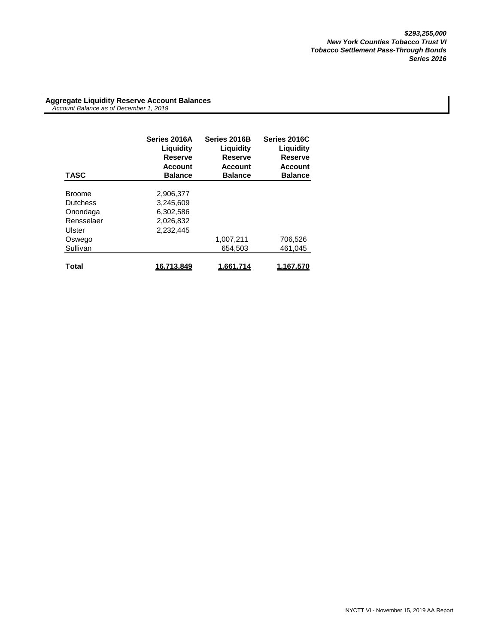**Aggregate Liquidity Reserve Account Balances**  *Account Balance as of December 1, 2019*

| <b>TASC</b>     | Series 2016A<br>Liguidity<br>Reserve<br><b>Account</b><br><b>Balance</b> | Series 2016B<br>Liquidity<br><b>Reserve</b><br><b>Account</b><br><b>Balance</b> | Series 2016C<br>Liquidity<br><b>Reserve</b><br><b>Account</b><br><b>Balance</b> |
|-----------------|--------------------------------------------------------------------------|---------------------------------------------------------------------------------|---------------------------------------------------------------------------------|
|                 |                                                                          |                                                                                 |                                                                                 |
| <b>Broome</b>   | 2.906.377                                                                |                                                                                 |                                                                                 |
| <b>Dutchess</b> | 3,245,609                                                                |                                                                                 |                                                                                 |
| Onondaga        | 6.302.586                                                                |                                                                                 |                                                                                 |
| Rensselaer      | 2,026,832                                                                |                                                                                 |                                                                                 |
| Ulster          | 2,232,445                                                                |                                                                                 |                                                                                 |
| Oswego          |                                                                          | 1,007,211                                                                       | 706,526                                                                         |
| Sullivan        |                                                                          | 654.503                                                                         | 461.045                                                                         |
|                 |                                                                          |                                                                                 |                                                                                 |
| Total           | 16,713,849                                                               | 1.661.714                                                                       | 1.167.570                                                                       |